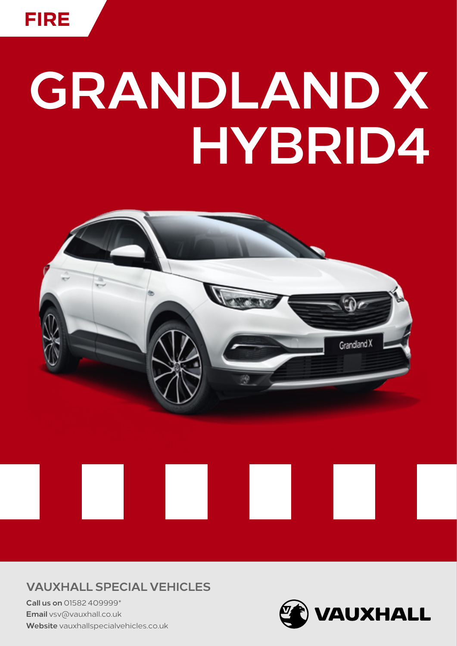

## **GRANDLAND X HYBRID4**



**VAUXHALL SPECIAL VEHICLES**

**Call us on** 01582 409999\* **Email** vsv@vauxhall.co.uk **Website** [vauxhallspecialvehicles.co.uk](http://www.vauxhallspecialvehicles.co.uk)